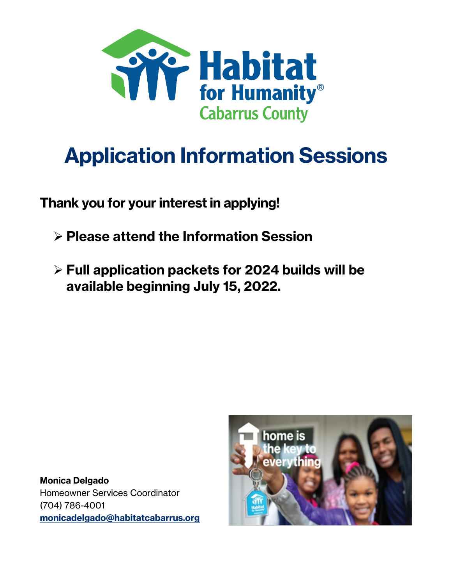

# **Application Information Sessions**

**Thank you for your interestin applying!**

- **Please attend the Information Session**
- **Full application packets for 2024 builds will be available beginning July 15, 2022.**

**Monica Delgado** Homeowner Services Coordinator (704) 786-4001 **[monicadelgado@habitatcabarrus.org](mailto:monicadelgado@habitatcabarrus.org)**

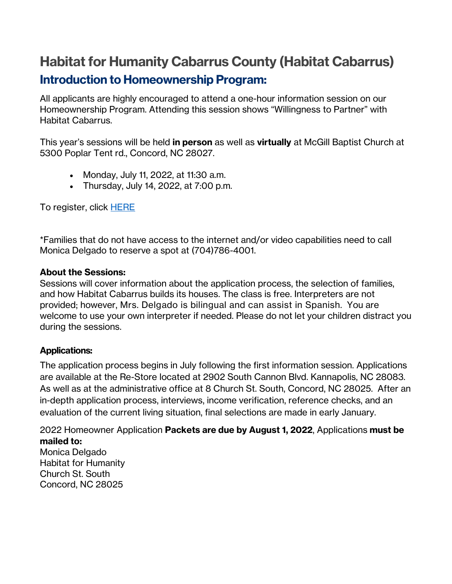## **Habitat for Humanity Cabarrus County (Habitat Cabarrus) Introduction to Homeownership Program:**

All applicants are highly encouraged to attend a one-hour information session on our Homeownership Program. Attending this session shows "Willingness to Partner" with Habitat Cabarrus.

This year's sessions will be held **in person** as well as **virtually** at McGill Baptist Church at 5300 Poplar Tent rd., Concord, NC 28027.

- Monday, July 11, 2022, at 11:30 a.m.
- Thursday, July 14, 2022, at 7:00 p.m.

To register, click [HERE](https://www.signupgenius.com/go/10C0E48AAAE28A7FDC61-homeownership)

\*Families that do not have access to the internet and/or video capabilities need to call Monica Delgado to reserve a spot at (704)786-4001.

#### **About the Sessions:**

Sessions will cover information about the application process, the selection of families, and how Habitat Cabarrus builds its houses. The class is free. Interpreters are not provided; however, Mrs. Delgado is bilingual and can assist in Spanish. You are welcome to use your own interpreter if needed. Please do not let your children distract you during the sessions.

#### **Applications:**

The application process begins in July following the first information session. Applications are available at the Re-Store located at 2902 South Cannon Blvd. Kannapolis, NC 28083. As well as at the administrative office at 8 Church St. South, Concord, NC 28025. After an in-depth application process, interviews, income verification, reference checks, and an evaluation of the current living situation, final selections are made in early January.

2022 Homeowner Application **Packets are due by August 1, 2022**, Applications **must be mailed to:** Monica Delgado Habitat for Humanity Church St. South Concord, NC 28025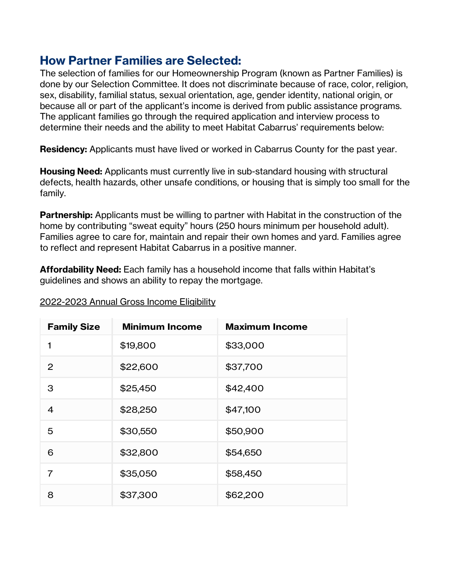### **How Partner Families are Selected:**

The selection of families for our Homeownership Program (known as Partner Families) is done by our Selection Committee. It does not discriminate because of race, color, religion, sex, disability, familial status, sexual orientation, age, gender identity, national origin, or because all or part of the applicant's income is derived from public assistance programs. The applicant families go through the required application and interview process to determine their needs and the ability to meet Habitat Cabarrus' requirements below:

**Residency:** Applicants must have lived or worked in Cabarrus County for the past year.

**Housing Need:** Applicants must currently live in sub-standard housing with structural defects, health hazards, other unsafe conditions, or housing that is simply too small for the family.

**Partnership:** Applicants must be willing to partner with Habitat in the construction of the home by contributing "sweat equity" hours (250 hours minimum per household adult). Families agree to care for, maintain and repair their own homes and yard. Families agree to reflect and represent Habitat Cabarrus in a positive manner.

**Affordability Need:** Each family has a household income that falls within Habitat's guidelines and shows an ability to repay the mortgage.

| <b>Family Size</b> | <b>Minimum Income</b> | <b>Maximum Income</b> |
|--------------------|-----------------------|-----------------------|
| 1                  | \$19,800              | \$33,000              |
| 2                  | \$22,600              | \$37,700              |
| 3                  | \$25,450              | \$42,400              |
| $\overline{4}$     | \$28,250              | \$47,100              |
| 5                  | \$30,550              | \$50,900              |
| 6                  | \$32,800              | \$54,650              |
| $\overline{7}$     | \$35,050              | \$58,450              |
| 8                  | \$37,300              | \$62,200              |

2022-2023 Annual Gross Income Eligibility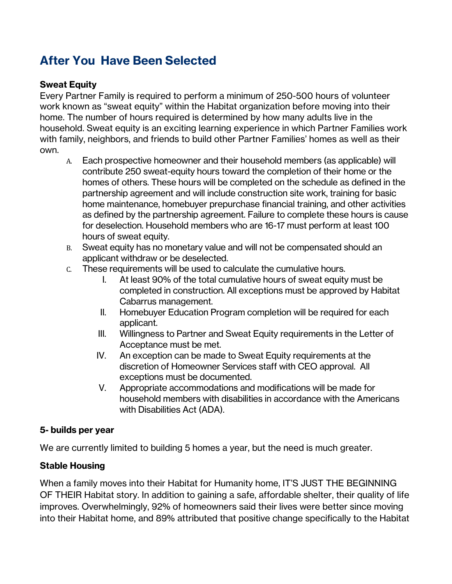## **After You Have Been Selected**

#### **Sweat Equity**

Every Partner Family is required to perform a minimum of 250-500 hours of volunteer work known as "sweat equity" within the Habitat organization before moving into their home. The number of hours required is determined by how many adults live in the household. Sweat equity is an exciting learning experience in which Partner Families work with family, neighbors, and friends to build other Partner Families' homes as well as their own.

- A. Each prospective homeowner and their household members (as applicable) will contribute 250 sweat-equity hours toward the completion of their home or the homes of others. These hours will be completed on the schedule as defined in the partnership agreement and will include construction site work, training for basic home maintenance, homebuyer prepurchase financial training, and other activities as defined by the partnership agreement. Failure to complete these hours is cause for deselection. Household members who are 16-17 must perform at least 100 hours of sweat equity.
- B. Sweat equity has no monetary value and will not be compensated should an applicant withdraw or be deselected.
- C. These requirements will be used to calculate the cumulative hours.
	- I. At least 90% of the total cumulative hours of sweat equity must be completed in construction. All exceptions must be approved by Habitat Cabarrus management.
	- II. Homebuyer Education Program completion will be required for each applicant.
	- III. Willingness to Partner and Sweat Equity requirements in the Letter of Acceptance must be met.
	- IV. An exception can be made to Sweat Equity requirements at the discretion of Homeowner Services staff with CEO approval. All exceptions must be documented.
	- V. Appropriate accommodations and modifications will be made for household members with disabilities in accordance with the Americans with Disabilities Act (ADA).

#### **5- builds per year**

We are currently limited to building 5 homes a year, but the need is much greater.

#### **Stable Housing**

When a family moves into their Habitat for Humanity home, IT'S JUST THE BEGINNING OF THEIR Habitat story. In addition to gaining a safe, affordable shelter, their quality of life improves. Overwhelmingly, 92% of homeowners said their lives were better since moving into their Habitat home, and 89% attributed that positive change specifically to the Habitat